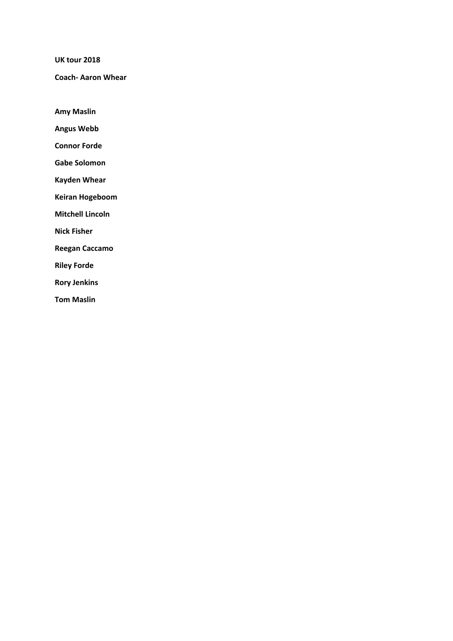**UK tour 2018** 

**Coach‐ Aaron Whear** 

**Amy Maslin** 

**Angus Webb** 

**Connor Forde** 

**Gabe Solomon** 

**Kayden Whear** 

**Keiran Hogeboom** 

**Mitchell Lincoln** 

**Nick Fisher** 

**Reegan Caccamo** 

**Riley Forde** 

**Rory Jenkins** 

**Tom Maslin**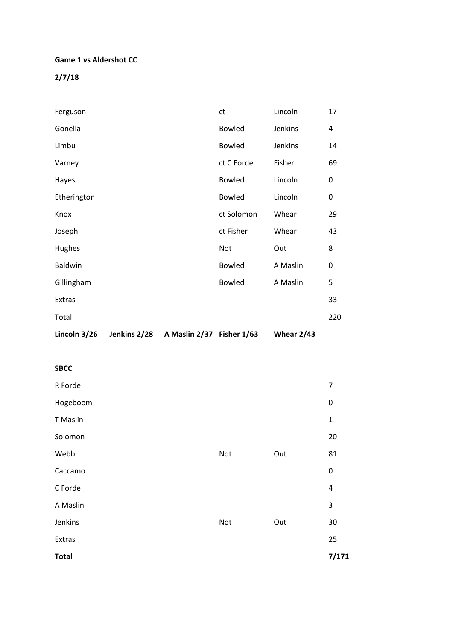#### **Game 1 vs Aldershot CC**

**2/7/18** 

| Lincoln 3/26 | Jenkins 2/28 | A Maslin 2/37 Fisher 1/63 |               | Whear $2/43$ |     |
|--------------|--------------|---------------------------|---------------|--------------|-----|
| Total        |              |                           |               |              | 220 |
| Extras       |              |                           |               |              | 33  |
| Gillingham   |              |                           | <b>Bowled</b> | A Maslin     | 5   |
| Baldwin      |              |                           | <b>Bowled</b> | A Maslin     | 0   |
| Hughes       |              |                           | Not           | Out          | 8   |
| Joseph       |              |                           | ct Fisher     | Whear        | 43  |
| Knox         |              |                           | ct Solomon    | Whear        | 29  |
| Etherington  |              |                           | <b>Bowled</b> | Lincoln      | 0   |
| Hayes        |              |                           | <b>Bowled</b> | Lincoln      | 0   |
| Varney       |              |                           | ct C Forde    | Fisher       | 69  |
| Limbu        |              |                           | <b>Bowled</b> | Jenkins      | 14  |
| Gonella      |              |                           | <b>Bowled</b> | Jenkins      | 4   |
| Ferguson     |              |                           | ct            | Lincoln      | 17  |

| <b>SBCC</b>  |     |     |                |
|--------------|-----|-----|----------------|
| R Forde      |     |     | $\overline{7}$ |
| Hogeboom     |     |     | 0              |
| T Maslin     |     |     | $\mathbf 1$    |
| Solomon      |     |     | 20             |
| Webb         | Not | Out | 81             |
| Caccamo      |     |     | $\pmb{0}$      |
| C Forde      |     |     | $\pmb{4}$      |
| A Maslin     |     |     | 3              |
| Jenkins      | Not | Out | 30             |
| Extras       |     |     | 25             |
| <b>Total</b> |     |     | 7/171          |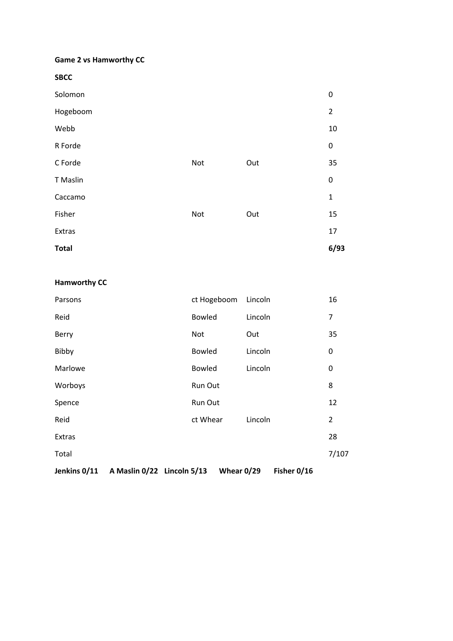### **Game 2 vs Hamworthy CC**

**SBCC** 

| Solomon      |     |     | 0              |
|--------------|-----|-----|----------------|
| Hogeboom     |     |     | $\overline{2}$ |
| Webb         |     |     | 10             |
| R Forde      |     |     | 0              |
| C Forde      | Not | Out | 35             |
| T Maslin     |     |     | 0              |
| Caccamo      |     |     | $\mathbf{1}$   |
| Fisher       | Not | Out | 15             |
| Extras       |     |     | 17             |
| <b>Total</b> |     |     | 6/93           |

### **Hamworthy CC**

| Jenkins 0/11 | A Maslin 0/22 Lincoln 5/13 |               | Whear 0/29 |         | Fisher 0/16 |                |
|--------------|----------------------------|---------------|------------|---------|-------------|----------------|
| Total        |                            |               |            |         |             | 7/107          |
| Extras       |                            |               |            |         |             | 28             |
| Reid         |                            | ct Whear      |            | Lincoln |             | $\overline{2}$ |
| Spence       |                            | Run Out       |            |         |             | 12             |
| Worboys      |                            | Run Out       |            |         |             | 8              |
| Marlowe      |                            | <b>Bowled</b> |            | Lincoln |             | 0              |
| Bibby        |                            | <b>Bowled</b> |            | Lincoln |             | 0              |
| <b>Berry</b> |                            | <b>Not</b>    |            | Out     |             | 35             |
| Reid         |                            | <b>Bowled</b> |            | Lincoln |             | 7              |
| Parsons      |                            | ct Hogeboom   |            | Lincoln |             | 16             |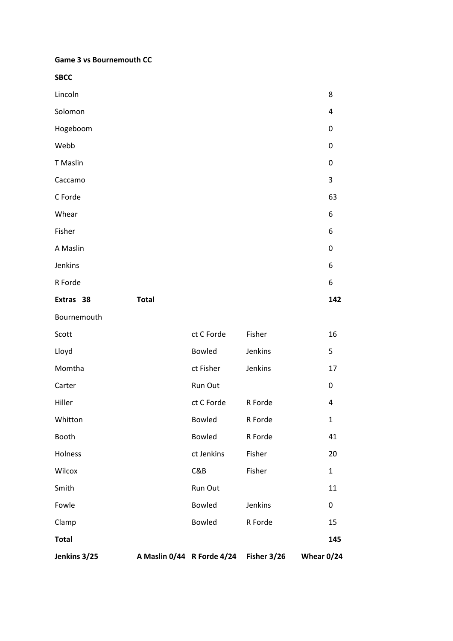**Game 3 vs Bournemouth CC** 

**SBCC** 

| Extras 38 | <b>Total</b> | 142       |
|-----------|--------------|-----------|
| R Forde   |              | 6         |
| Jenkins   |              | 6         |
| A Maslin  |              | $\pmb{0}$ |
| Fisher    |              | 6         |
| Whear     |              | 6         |
| C Forde   |              | 63        |
| Caccamo   |              | 3         |
| T Maslin  |              | $\pmb{0}$ |
| Webb      |              | $\pmb{0}$ |
| Hogeboom  |              | $\pmb{0}$ |
| Solomon   |              | 4         |
| Lincoln   |              | 8         |

Bournemouth

| Jenkins 3/25 | A Maslin 0/44 R Forde 4/24 | Fisher 3/26 | Whear 0/24 |              |
|--------------|----------------------------|-------------|------------|--------------|
| <b>Total</b> |                            |             |            | 145          |
| Clamp        | <b>Bowled</b>              | R Forde     |            | 15           |
| Fowle        | <b>Bowled</b>              | Jenkins     |            | 0            |
| Smith        | Run Out                    |             |            | 11           |
| Wilcox       | C&B                        | Fisher      |            | $\mathbf{1}$ |
| Holness      | ct Jenkins                 | Fisher      |            | 20           |
| Booth        | <b>Bowled</b>              | R Forde     |            | 41           |
| Whitton      | <b>Bowled</b>              | R Forde     |            | $\mathbf{1}$ |
| Hiller       | ct C Forde                 | R Forde     |            | 4            |
| Carter       | Run Out                    |             |            | 0            |
| Momtha       | ct Fisher                  | Jenkins     |            | 17           |
| Lloyd        | <b>Bowled</b>              | Jenkins     |            | 5            |
| Scott        | ct C Forde                 | Fisher      |            | 16           |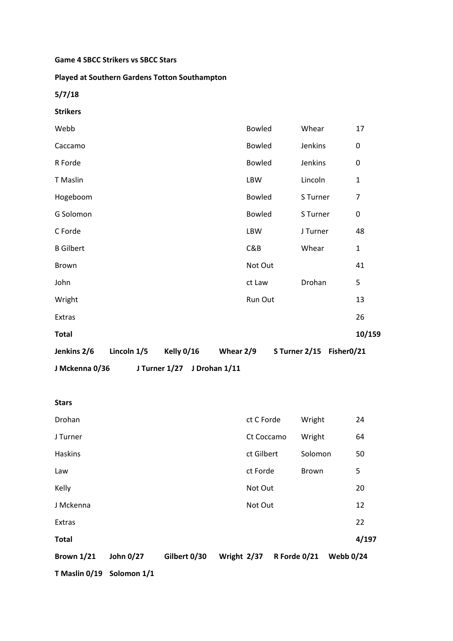#### **Game 4 SBCC Strikers vs SBCC Stars**

#### **Played at Southern Gardens Totton Southampton**

**5/7/18** 

| <b>Strikers</b>                                       |               |                          |              |  |  |  |
|-------------------------------------------------------|---------------|--------------------------|--------------|--|--|--|
| Webb                                                  | <b>Bowled</b> | Whear                    | 17           |  |  |  |
| Caccamo                                               | <b>Bowled</b> | Jenkins                  | 0            |  |  |  |
| R Forde                                               | <b>Bowled</b> | Jenkins                  | 0            |  |  |  |
| <b>T</b> Maslin                                       | <b>LBW</b>    | Lincoln                  | $\mathbf{1}$ |  |  |  |
| Hogeboom                                              | <b>Bowled</b> | S Turner                 | 7            |  |  |  |
| G Solomon                                             | <b>Bowled</b> | S Turner                 | 0            |  |  |  |
| C Forde                                               | <b>LBW</b>    | J Turner                 | 48           |  |  |  |
| <b>B</b> Gilbert                                      | C&B           | Whear                    | $\mathbf{1}$ |  |  |  |
| Brown                                                 | Not Out       |                          | 41           |  |  |  |
| John                                                  | ct Law        | Drohan                   | 5            |  |  |  |
| Wright                                                | Run Out       |                          | 13           |  |  |  |
| Extras                                                |               |                          | 26           |  |  |  |
| <b>Total</b>                                          |               |                          | 10/159       |  |  |  |
| Lincoln 1/5<br>Kelly 0/16<br>Whear 2/9<br>Jenkins 2/6 |               | S Turner 2/15 Fisher0/21 |              |  |  |  |
| J Mckenna 0/36<br>J Turner 1/27<br>J Drohan 1/11      |               |                          |              |  |  |  |

| <b>Stars</b>      |           |              |             |              |                  |       |
|-------------------|-----------|--------------|-------------|--------------|------------------|-------|
| Drohan            |           |              |             | ct C Forde   | Wright           | 24    |
| J Turner          |           |              |             | Ct Coccamo   | Wright           | 64    |
| Haskins           |           |              |             | ct Gilbert   | Solomon          | 50    |
| Law               |           |              |             | ct Forde     | <b>Brown</b>     | 5     |
| Kelly             |           |              |             | Not Out      |                  | 20    |
| J Mckenna         |           |              |             | Not Out      |                  | 12    |
| <b>Extras</b>     |           |              |             |              |                  | 22    |
| <b>Total</b>      |           |              |             |              |                  | 4/197 |
| <b>Brown 1/21</b> | John 0/27 | Gilbert 0/30 | Wright 2/37 | R Forde 0/21 | <b>Webb 0/24</b> |       |

**T Maslin 0/19 Solomon 1/1**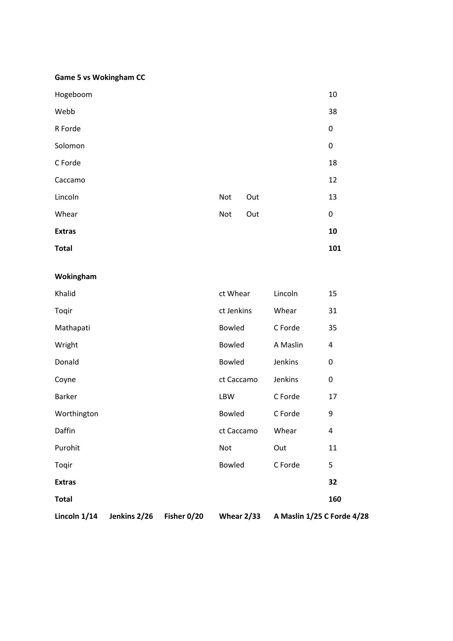#### **Game 5 vs Wokingham CC**

| <b>Total</b>  |     |     | 101       |
|---------------|-----|-----|-----------|
| <b>Extras</b> |     |     | 10        |
| Whear         | Not | Out | 0         |
| Lincoln       | Not | Out | 13        |
| Caccamo       |     |     | 12        |
| C Forde       |     |     | 18        |
| Solomon       |     |     | $\pmb{0}$ |
| R Forde       |     |     | 0         |
| Webb          |     |     | 38        |
| Hogeboom      |     |     | 10        |

#### **Wokingham**

| Lincoln $1/14$ | Jenkins 2/26 | Fisher 0/20 | Whear $2/33$  | A Maslin 1/25 C Forde 4/28 |           |
|----------------|--------------|-------------|---------------|----------------------------|-----------|
| <b>Total</b>   |              |             |               |                            | 160       |
| <b>Extras</b>  |              |             |               |                            | 32        |
| Toqir          |              |             | <b>Bowled</b> | C Forde                    | 5         |
| Purohit        |              |             | Not           | Out                        | 11        |
| Daffin         |              |             | ct Caccamo    | Whear                      | 4         |
| Worthington    |              |             | <b>Bowled</b> | C Forde                    | 9         |
| <b>Barker</b>  |              |             | LBW           | C Forde                    | 17        |
| Coyne          |              |             | ct Caccamo    | Jenkins                    | 0         |
| Donald         |              |             | <b>Bowled</b> | Jenkins                    | $\pmb{0}$ |
| Wright         |              |             | <b>Bowled</b> | A Maslin                   | 4         |
| Mathapati      |              |             | <b>Bowled</b> | C Forde                    | 35        |
| Toqir          |              |             | ct Jenkins    | Whear                      | 31        |
| Khalid         |              |             | ct Whear      | Lincoln                    | 15        |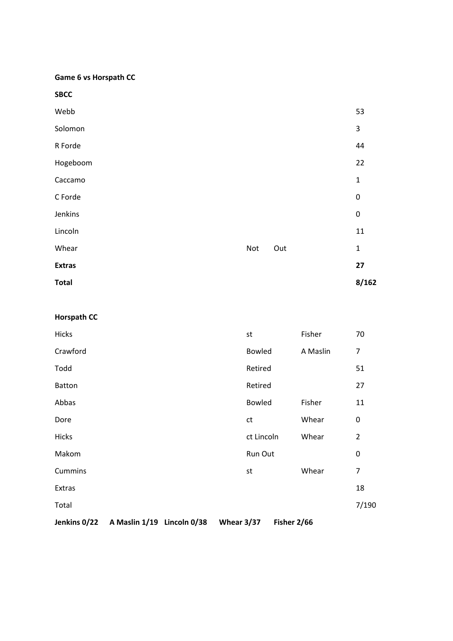**Game 6 vs Horspath CC** 

**SBCC** 

| Webb          |     |     | 53           |
|---------------|-----|-----|--------------|
| Solomon       |     |     | 3            |
| R Forde       |     |     | 44           |
| Hogeboom      |     |     | 22           |
| Caccamo       |     |     | 1            |
| C Forde       |     |     | $\pmb{0}$    |
| Jenkins       |     |     | $\pmb{0}$    |
| Lincoln       |     |     | 11           |
| Whear         | Not | Out | $\mathbf{1}$ |
| <b>Extras</b> |     |     | 27           |
| <b>Total</b>  |     |     | 8/162        |

# **Horspath CC**

| Jenkins 0/22  | A Maslin 1/19 Lincoln 0/38 | Whear $3/37$ | Fisher 2/66   |          |                |
|---------------|----------------------------|--------------|---------------|----------|----------------|
| Total         |                            |              |               |          | 7/190          |
| Extras        |                            |              |               |          | 18             |
| Cummins       |                            | st           |               | Whear    | 7              |
| Makom         |                            |              | Run Out       |          | 0              |
| <b>Hicks</b>  |                            |              | ct Lincoln    | Whear    | $\overline{2}$ |
| Dore          |                            | ct           |               | Whear    | 0              |
| Abbas         |                            |              | <b>Bowled</b> | Fisher   | 11             |
| <b>Batton</b> |                            |              | Retired       |          | 27             |
| Todd          |                            |              | Retired       |          | 51             |
| Crawford      |                            |              | Bowled        | A Maslin | $\overline{7}$ |
| <b>Hicks</b>  |                            | st           |               | Fisher   | 70             |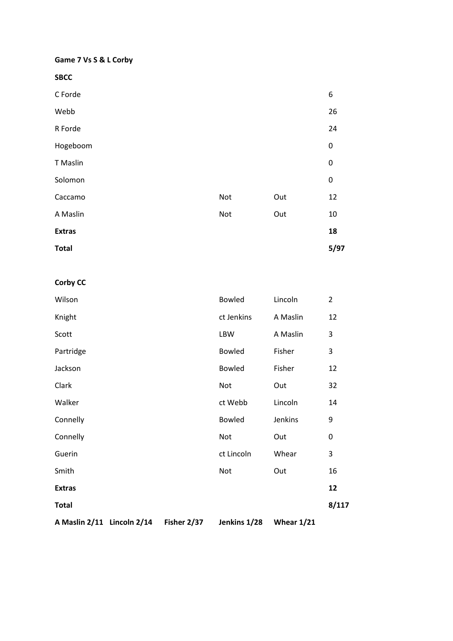#### **Game 7 Vs S & L Corby**

**SBCC** 

| <b>Total</b>    |     |     | 5/97   |
|-----------------|-----|-----|--------|
| <b>Extras</b>   |     |     | 18     |
| A Maslin        | Not | Out | $10\,$ |
| Caccamo         | Not | Out | 12     |
| Solomon         |     |     | 0      |
| <b>T</b> Maslin |     |     | 0      |
| Hogeboom        |     |     | 0      |
| R Forde         |     |     | 24     |
| Webb            |     |     | 26     |
| C Forde         |     |     | 6      |

# **Corby CC**

| A Maslin 2/11 Lincoln 2/14 | Fisher 2/37 | Jenkins 1/28  | Whear $1/21$ |                |
|----------------------------|-------------|---------------|--------------|----------------|
| <b>Total</b>               |             |               |              | 8/117          |
| <b>Extras</b>              |             |               |              | 12             |
| Smith                      |             | Not           | Out          | 16             |
| Guerin                     |             | ct Lincoln    | Whear        | 3              |
| Connelly                   |             | Not           | Out          | 0              |
| Connelly                   |             | <b>Bowled</b> | Jenkins      | 9              |
| Walker                     |             | ct Webb       | Lincoln      | 14             |
| Clark                      |             | <b>Not</b>    | Out          | 32             |
| Jackson                    |             | <b>Bowled</b> | Fisher       | 12             |
| Partridge                  |             | <b>Bowled</b> | Fisher       | 3              |
| Scott                      |             | LBW           | A Maslin     | 3              |
| Knight                     |             | ct Jenkins    | A Maslin     | 12             |
| Wilson                     |             | <b>Bowled</b> | Lincoln      | $\overline{2}$ |